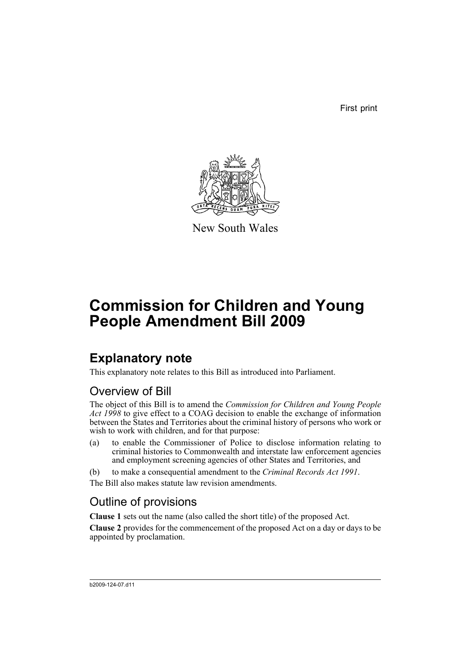First print



New South Wales

# **Commission for Children and Young People Amendment Bill 2009**

## **Explanatory note**

This explanatory note relates to this Bill as introduced into Parliament.

### Overview of Bill

The object of this Bill is to amend the *Commission for Children and Young People Act 1998* to give effect to a COAG decision to enable the exchange of information between the States and Territories about the criminal history of persons who work or wish to work with children, and for that purpose:

- (a) to enable the Commissioner of Police to disclose information relating to criminal histories to Commonwealth and interstate law enforcement agencies and employment screening agencies of other States and Territories, and
- (b) to make a consequential amendment to the *Criminal Records Act 1991*. The Bill also makes statute law revision amendments.

### Outline of provisions

**Clause 1** sets out the name (also called the short title) of the proposed Act.

**Clause 2** provides for the commencement of the proposed Act on a day or days to be appointed by proclamation.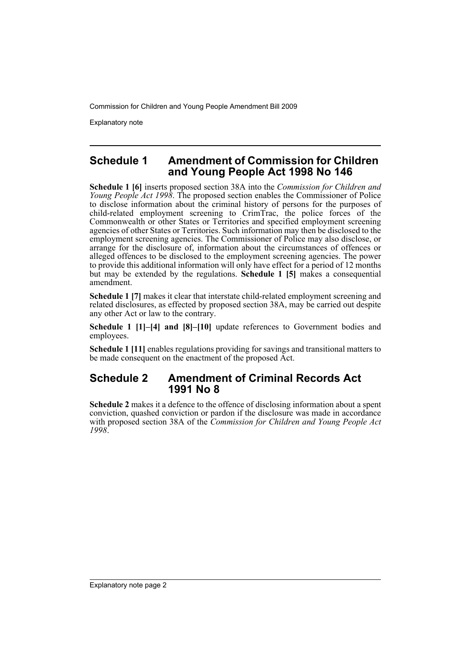Explanatory note

#### **Schedule 1 Amendment of Commission for Children and Young People Act 1998 No 146**

**Schedule 1 [6]** inserts proposed section 38A into the *Commission for Children and Young People Act 1998*. The proposed section enables the Commissioner of Police to disclose information about the criminal history of persons for the purposes of child-related employment screening to CrimTrac, the police forces of the Commonwealth or other States or Territories and specified employment screening agencies of other States or Territories. Such information may then be disclosed to the employment screening agencies. The Commissioner of Police may also disclose, or arrange for the disclosure of, information about the circumstances of offences or alleged offences to be disclosed to the employment screening agencies. The power to provide this additional information will only have effect for a period of 12 months but may be extended by the regulations. **Schedule 1 [5]** makes a consequential amendment.

**Schedule 1 [7]** makes it clear that interstate child-related employment screening and related disclosures, as effected by proposed section 38A, may be carried out despite any other Act or law to the contrary.

**Schedule 1 [1]–[4] and [8]–[10]** update references to Government bodies and employees.

**Schedule 1 [11]** enables regulations providing for savings and transitional matters to be made consequent on the enactment of the proposed Act.

### **Schedule 2 Amendment of Criminal Records Act 1991 No 8**

**Schedule 2** makes it a defence to the offence of disclosing information about a spent conviction, quashed conviction or pardon if the disclosure was made in accordance with proposed section 38A of the *Commission for Children and Young People Act 1998*.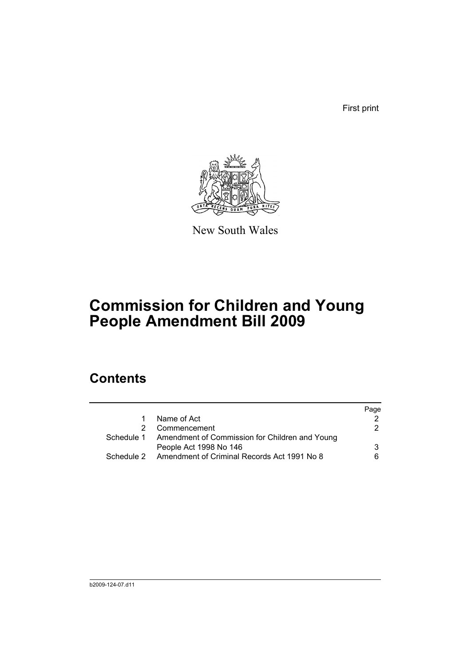First print



New South Wales

# **Commission for Children and Young People Amendment Bill 2009**

## **Contents**

|   |                                                           | Page |
|---|-----------------------------------------------------------|------|
| 1 | Name of Act                                               |      |
|   | Commencement                                              | 2    |
|   | Schedule 1 Amendment of Commission for Children and Young |      |
|   | People Act 1998 No 146                                    | 3    |
|   | Schedule 2 Amendment of Criminal Records Act 1991 No 8    | 6    |
|   |                                                           |      |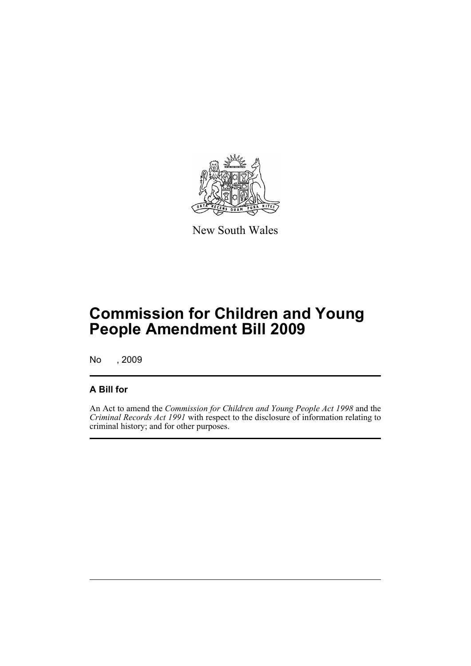

New South Wales

# **Commission for Children and Young People Amendment Bill 2009**

No , 2009

### **A Bill for**

An Act to amend the *Commission for Children and Young People Act 1998* and the *Criminal Records Act 1991* with respect to the disclosure of information relating to criminal history; and for other purposes.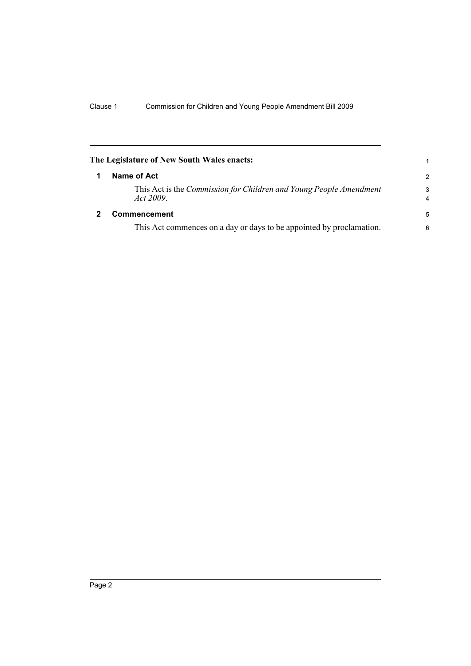<span id="page-5-1"></span><span id="page-5-0"></span>

|   | The Legislature of New South Wales enacts:                                      |                     |
|---|---------------------------------------------------------------------------------|---------------------|
| 1 | Name of Act                                                                     | $\overline{2}$      |
|   | This Act is the Commission for Children and Young People Amendment<br>Act 2009. | 3<br>$\overline{4}$ |
| 2 | Commencement                                                                    | 5                   |
|   | This Act commences on a day or days to be appointed by proclamation.            | 6                   |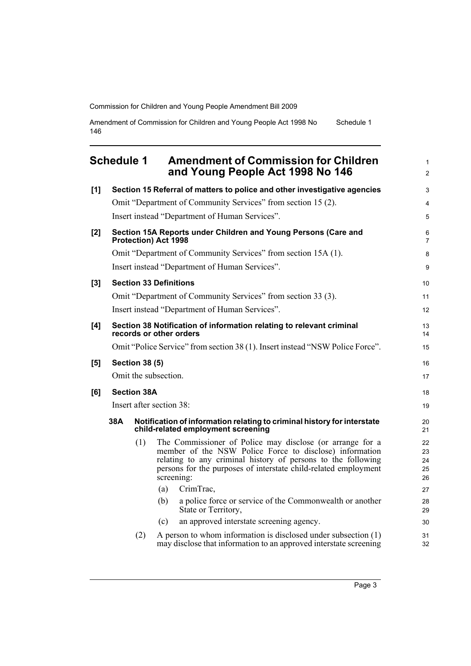Amendment of Commission for Children and Young People Act 1998 No 146 Schedule 1

## <span id="page-6-0"></span>**Schedule 1 Amendment of Commission for Children and Young People Act 1998 No 146**

| [1]      |     |                       | Section 15 Referral of matters to police and other investigative agencies                                                                                                                                                                                             | 3                          |
|----------|-----|-----------------------|-----------------------------------------------------------------------------------------------------------------------------------------------------------------------------------------------------------------------------------------------------------------------|----------------------------|
|          |     |                       | Omit "Department of Community Services" from section 15 (2).                                                                                                                                                                                                          | $\overline{4}$             |
|          |     |                       | Insert instead "Department of Human Services".                                                                                                                                                                                                                        | 5                          |
| [2]      |     |                       | Section 15A Reports under Children and Young Persons (Care and<br>Protection) Act 1998                                                                                                                                                                                | 6<br>7                     |
|          |     |                       | Omit "Department of Community Services" from section 15A (1).                                                                                                                                                                                                         | 8                          |
|          |     |                       | Insert instead "Department of Human Services".                                                                                                                                                                                                                        | 9                          |
| $^{[3]}$ |     |                       | <b>Section 33 Definitions</b>                                                                                                                                                                                                                                         | 10                         |
|          |     |                       | Omit "Department of Community Services" from section 33 (3).                                                                                                                                                                                                          | 11                         |
|          |     |                       | Insert instead "Department of Human Services".                                                                                                                                                                                                                        | 12                         |
| [4]      |     |                       | Section 38 Notification of information relating to relevant criminal<br>records or other orders                                                                                                                                                                       | 13<br>14                   |
|          |     |                       | Omit "Police Service" from section 38 (1). Insert instead "NSW Police Force".                                                                                                                                                                                         | 15                         |
| [5]      |     | <b>Section 38 (5)</b> |                                                                                                                                                                                                                                                                       | 16                         |
|          |     |                       | Omit the subsection.                                                                                                                                                                                                                                                  | 17                         |
| [6]      |     | <b>Section 38A</b>    |                                                                                                                                                                                                                                                                       | 18                         |
|          |     |                       | Insert after section 38:                                                                                                                                                                                                                                              | 19                         |
|          | 38A |                       | Notification of information relating to criminal history for interstate<br>child-related employment screening                                                                                                                                                         | 20<br>21                   |
|          |     | (1)                   | The Commissioner of Police may disclose (or arrange for a<br>member of the NSW Police Force to disclose) information<br>relating to any criminal history of persons to the following<br>persons for the purposes of interstate child-related employment<br>screening: | 22<br>23<br>24<br>25<br>26 |
|          |     |                       | CrimTrac,<br>(a)                                                                                                                                                                                                                                                      | 27                         |
|          |     |                       | a police force or service of the Commonwealth or another<br>(b)<br>State or Territory,                                                                                                                                                                                | 28<br>29                   |
|          |     |                       | an approved interstate screening agency.<br>(c)                                                                                                                                                                                                                       | 30                         |
|          |     | (2)                   | A person to whom information is disclosed under subsection (1)<br>may disclose that information to an approved interstate screening                                                                                                                                   | 31<br>32                   |

1 2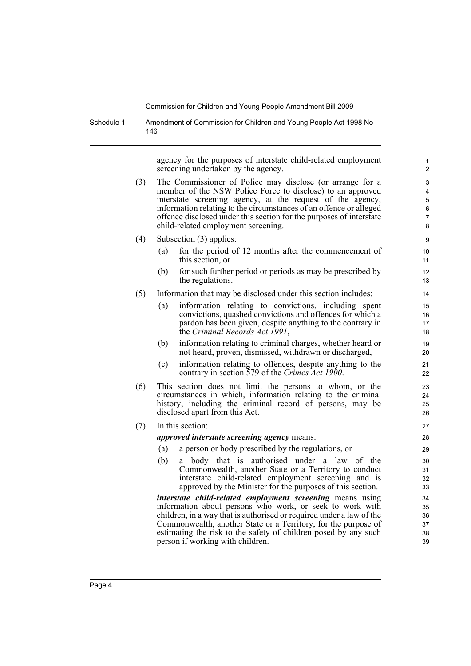Schedule 1 Amendment of Commission for Children and Young People Act 1998 No 146

> agency for the purposes of interstate child-related employment screening undertaken by the agency.

- (3) The Commissioner of Police may disclose (or arrange for a member of the NSW Police Force to disclose) to an approved interstate screening agency, at the request of the agency, information relating to the circumstances of an offence or alleged offence disclosed under this section for the purposes of interstate child-related employment screening.
- (4) Subsection (3) applies:
	- (a) for the period of 12 months after the commencement of this section, or
	- (b) for such further period or periods as may be prescribed by the regulations.
- (5) Information that may be disclosed under this section includes:
	- (a) information relating to convictions, including spent convictions, quashed convictions and offences for which a pardon has been given, despite anything to the contrary in the *Criminal Records Act 1991*,
	- (b) information relating to criminal charges, whether heard or not heard, proven, dismissed, withdrawn or discharged,
	- (c) information relating to offences, despite anything to the contrary in section 579 of the *Crimes Act 1900*.
- (6) This section does not limit the persons to whom, or the circumstances in which, information relating to the criminal history, including the criminal record of persons, may be disclosed apart from this Act.

### (7) In this section:

*approved interstate screening agency* means:

- (a) a person or body prescribed by the regulations, or
- (b) a body that is authorised under a law of the Commonwealth, another State or a Territory to conduct interstate child-related employment screening and is approved by the Minister for the purposes of this section.

*interstate child-related employment screening* means using information about persons who work, or seek to work with children, in a way that is authorised or required under a law of the Commonwealth, another State or a Territory, for the purpose of estimating the risk to the safety of children posed by any such person if working with children.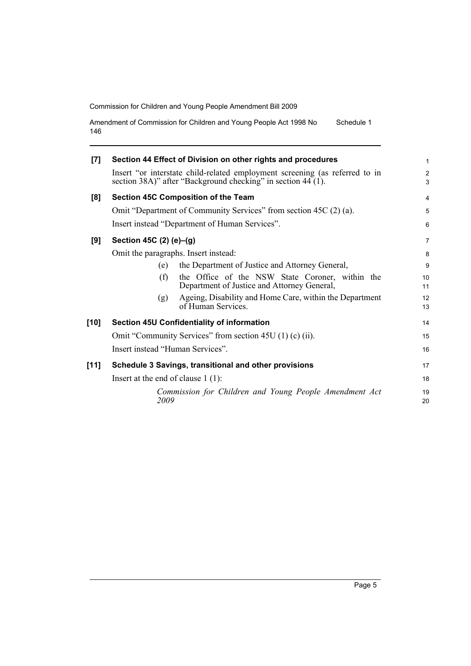Amendment of Commission for Children and Young People Act 1998 No 146 Schedule 1

| [7]    | Section 44 Effect of Division on other rights and procedures                                                                                | 1                   |  |  |
|--------|---------------------------------------------------------------------------------------------------------------------------------------------|---------------------|--|--|
|        | Insert "or interstate child-related employment screening (as referred to in<br>section 38A)" after "Background checking" in section 44 (1). | $\overline{c}$<br>3 |  |  |
| [8]    | <b>Section 45C Composition of the Team</b>                                                                                                  | $\overline{4}$      |  |  |
|        | Omit "Department of Community Services" from section 45C (2) (a).                                                                           |                     |  |  |
|        | Insert instead "Department of Human Services".                                                                                              | 6                   |  |  |
| [9]    | Section 45C (2) (e)-(g)                                                                                                                     |                     |  |  |
|        | Omit the paragraphs. Insert instead:                                                                                                        |                     |  |  |
|        | the Department of Justice and Attorney General,<br>(e)                                                                                      | 9                   |  |  |
|        | the Office of the NSW State Coroner, within the<br>(f)<br>Department of Justice and Attorney General,                                       | 10<br>11            |  |  |
|        | Ageing, Disability and Home Care, within the Department<br>(g)<br>of Human Services.                                                        | 12<br>13            |  |  |
| $[10]$ | <b>Section 45U Confidentiality of information</b>                                                                                           | 14                  |  |  |
|        | Omit "Community Services" from section 45U (1) (c) (ii).                                                                                    |                     |  |  |
|        | Insert instead "Human Services".                                                                                                            |                     |  |  |
| [11]   | Schedule 3 Savings, transitional and other provisions                                                                                       |                     |  |  |
|        | Insert at the end of clause $1(1)$ :                                                                                                        |                     |  |  |
|        | Commission for Children and Young People Amendment Act<br>2009                                                                              | 19<br>20            |  |  |